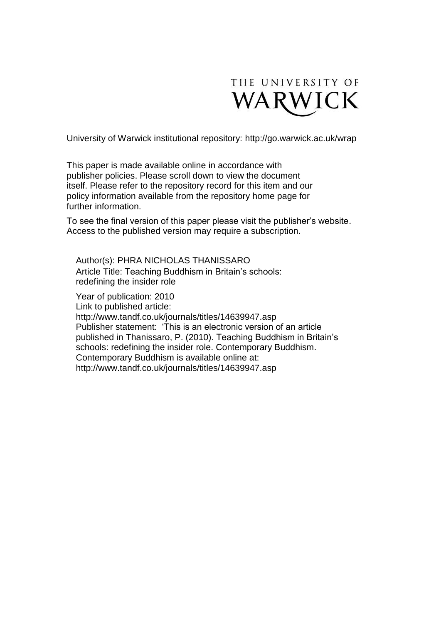

University of Warwick institutional repository:<http://go.warwick.ac.uk/wrap>

This paper is made available online in accordance with publisher policies. Please scroll down to view the document itself. Please refer to the repository record for this item and our policy information available from the repository home page for further information.

To see the final version of this paper please visit the publisher's website. Access to the published version may require a subscription.

Author(s): PHRA NICHOLAS THANISSARO Article Title: Teaching Buddhism in Britain's schools: redefining the insider role

Year of publication: 2010

Link to published article:

http://www.tandf.co.uk/journals/titles/14639947.asp Publisher statement: 'This is an electronic version of an article published in Thanissaro, P. (2010). Teaching Buddhism in Britain's schools: redefining the insider role. Contemporary Buddhism. Contemporary Buddhism is available online at: http://www.tandf.co.uk/journals/titles/14639947.asp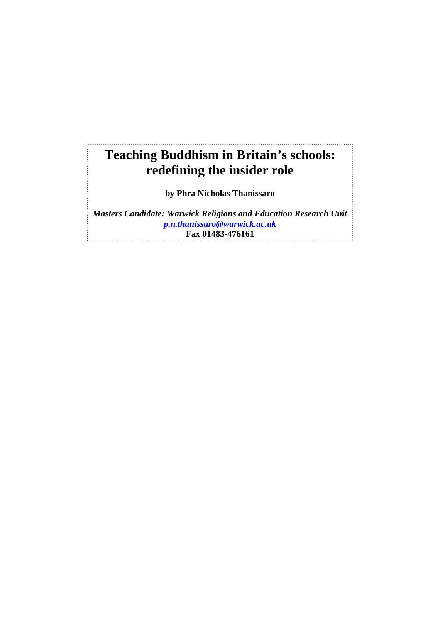# **Teaching Buddhism in Britain's schools: redefining the insider role**

**by Phra Nicholas Thanissaro** 

*Masters Candidate: Warwick Religions and Education Research Unit p.n.thanissaro@warwick.ac.uk* **Fax 01483-476161**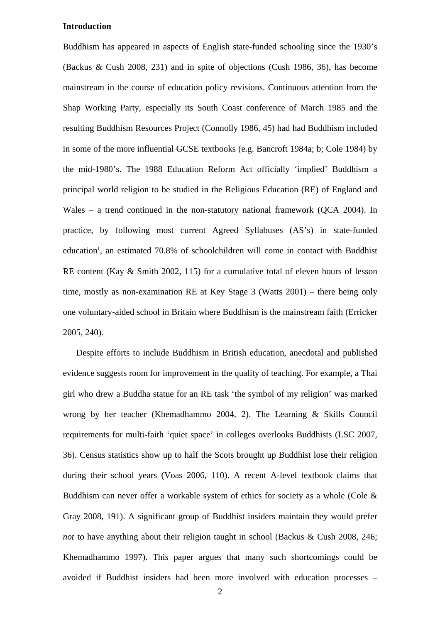### **Introduction**

Buddhism has appeared in aspects of English state-funded schooling since the 1930's (Backus & Cush 2008, 231) and in spite of objections (Cush 1986, 36), has become mainstream in the course of education policy revisions. Continuous attention from the Shap Working Party, especially its South Coast conference of March 1985 and the resulting Buddhism Resources Project (Connolly 1986, 45) had had Buddhism included in some of the more influential GCSE textbooks (e.g. Bancroft 1984a; b; Cole 1984) by the mid-1980's. The 1988 Education Reform Act officially 'implied' Buddhism a principal world religion to be studied in the Religious Education (RE) of England and Wales – a trend continued in the non-statutory national framework (OCA 2004). In practice, by following most current Agreed Syllabuses (AS's) in state-funded education<sup>1</sup>, an estimated 70.8% of schoolchildren will come in contact with Buddhist RE content (Kay & Smith 2002, 115) for a cumulative total of eleven hours of lesson time, mostly as non-examination RE at Key Stage 3 (Watts 2001) – there being only one voluntary-aided school in Britain where Buddhism is the mainstream faith (Erricker 2005, 240).

Despite efforts to include Buddhism in British education, anecdotal and published evidence suggests room for improvement in the quality of teaching. For example, a Thai girl who drew a Buddha statue for an RE task 'the symbol of my religion' was marked wrong by her teacher (Khemadhammo 2004, 2). The Learning & Skills Council requirements for multi-faith 'quiet space' in colleges overlooks Buddhists (LSC 2007, 36). Census statistics show up to half the Scots brought up Buddhist lose their religion during their school years (Voas 2006, 110). A recent A-level textbook claims that Buddhism can never offer a workable system of ethics for society as a whole (Cole  $\&$ Gray 2008, 191). A significant group of Buddhist insiders maintain they would prefer *not* to have anything about their religion taught in school (Backus & Cush 2008, 246; Khemadhammo 1997). This paper argues that many such shortcomings could be avoided if Buddhist insiders had been more involved with education processes –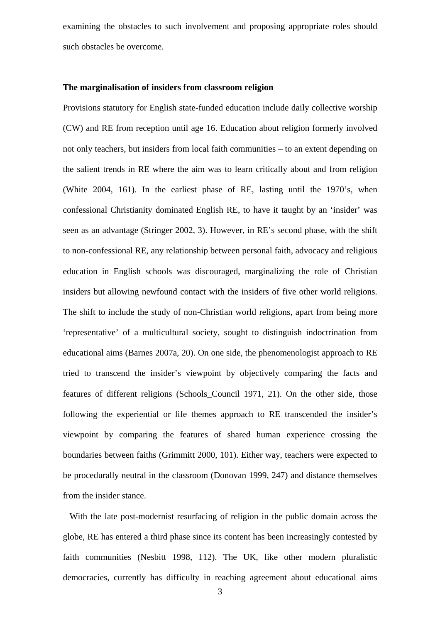examining the obstacles to such involvement and proposing appropriate roles should such obstacles be overcome.

#### **The marginalisation of insiders from classroom religion**

Provisions statutory for English state-funded education include daily collective worship (CW) and RE from reception until age 16. Education about religion formerly involved not only teachers, but insiders from local faith communities – to an extent depending on the salient trends in RE where the aim was to learn critically about and from religion (White 2004, 161). In the earliest phase of RE, lasting until the 1970's, when confessional Christianity dominated English RE, to have it taught by an 'insider' was seen as an advantage (Stringer 2002, 3). However, in RE's second phase, with the shift to non-confessional RE, any relationship between personal faith, advocacy and religious education in English schools was discouraged, marginalizing the role of Christian insiders but allowing newfound contact with the insiders of five other world religions. The shift to include the study of non-Christian world religions, apart from being more 'representative' of a multicultural society, sought to distinguish indoctrination from educational aims (Barnes 2007a, 20). On one side, the phenomenologist approach to RE tried to transcend the insider's viewpoint by objectively comparing the facts and features of different religions (Schools\_Council 1971, 21). On the other side, those following the experiential or life themes approach to RE transcended the insider's viewpoint by comparing the features of shared human experience crossing the boundaries between faiths (Grimmitt 2000, 101). Either way, teachers were expected to be procedurally neutral in the classroom (Donovan 1999, 247) and distance themselves from the insider stance.

With the late post-modernist resurfacing of religion in the public domain across the globe, RE has entered a third phase since its content has been increasingly contested by faith communities (Nesbitt 1998, 112). The UK, like other modern pluralistic democracies, currently has difficulty in reaching agreement about educational aims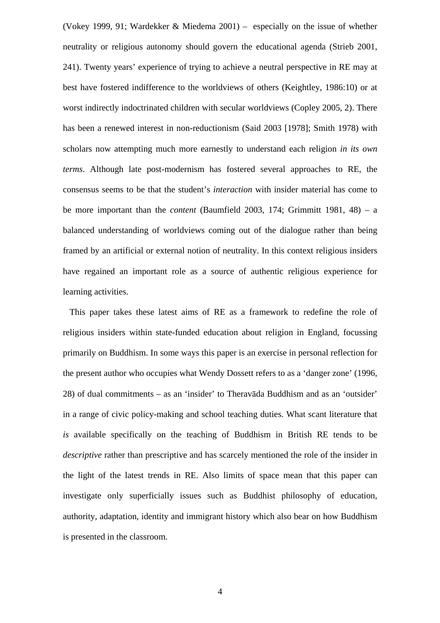(Vokey 1999, 91; Wardekker & Miedema 2001) – especially on the issue of whether neutrality or religious autonomy should govern the educational agenda (Strieb 2001, 241). Twenty years' experience of trying to achieve a neutral perspective in RE may at best have fostered indifference to the worldviews of others (Keightley, 1986:10) or at worst indirectly indoctrinated children with secular worldviews (Copley 2005, 2). There has been a renewed interest in non-reductionism (Said 2003 [1978]; Smith 1978) with scholars now attempting much more earnestly to understand each religion *in its own terms*. Although late post-modernism has fostered several approaches to RE, the consensus seems to be that the student's *interaction* with insider material has come to be more important than the *content* (Baumfield 2003, 174; Grimmitt 1981, 48) – a balanced understanding of worldviews coming out of the dialogue rather than being framed by an artificial or external notion of neutrality. In this context religious insiders have regained an important role as a source of authentic religious experience for learning activities.

 This paper takes these latest aims of RE as a framework to redefine the role of religious insiders within state-funded education about religion in England, focussing primarily on Buddhism. In some ways this paper is an exercise in personal reflection for the present author who occupies what Wendy Dossett refers to as a 'danger zone' (1996, 28) of dual commitments – as an 'insider' to Theravāda Buddhism and as an 'outsider' in a range of civic policy-making and school teaching duties. What scant literature that *is* available specifically on the teaching of Buddhism in British RE tends to be *descriptive* rather than prescriptive and has scarcely mentioned the role of the insider in the light of the latest trends in RE. Also limits of space mean that this paper can investigate only superficially issues such as Buddhist philosophy of education, authority, adaptation, identity and immigrant history which also bear on how Buddhism is presented in the classroom.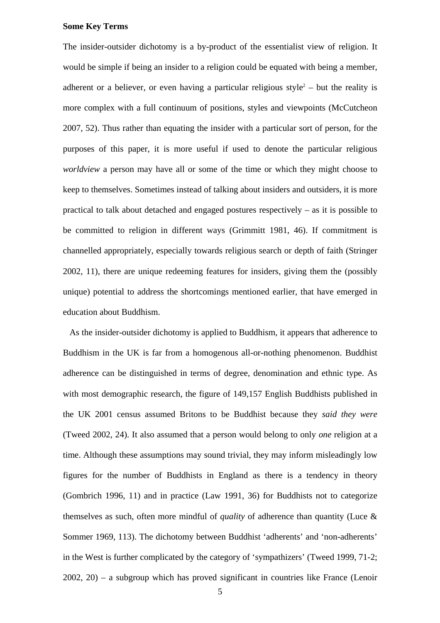#### **Some Key Terms**

The insider-outsider dichotomy is a by-product of the essentialist view of religion. It would be simple if being an insider to a religion could be equated with being a member, adherent or a believer, or even having a particular religious style<sup>2</sup> – but the reality is more complex with a full continuum of positions, styles and viewpoints (McCutcheon 2007, 52). Thus rather than equating the insider with a particular sort of person, for the purposes of this paper, it is more useful if used to denote the particular religious *worldview* a person may have all or some of the time or which they might choose to keep to themselves. Sometimes instead of talking about insiders and outsiders, it is more practical to talk about detached and engaged postures respectively – as it is possible to be committed to religion in different ways (Grimmitt 1981, 46). If commitment is channelled appropriately, especially towards religious search or depth of faith (Stringer 2002, 11), there are unique redeeming features for insiders, giving them the (possibly unique) potential to address the shortcomings mentioned earlier, that have emerged in education about Buddhism.

 As the insider-outsider dichotomy is applied to Buddhism, it appears that adherence to Buddhism in the UK is far from a homogenous all-or-nothing phenomenon. Buddhist adherence can be distinguished in terms of degree, denomination and ethnic type. As with most demographic research, the figure of 149,157 English Buddhists published in the UK 2001 census assumed Britons to be Buddhist because they *said they were* (Tweed 2002, 24). It also assumed that a person would belong to only *one* religion at a time. Although these assumptions may sound trivial, they may inform misleadingly low figures for the number of Buddhists in England as there is a tendency in theory (Gombrich 1996, 11) and in practice (Law 1991, 36) for Buddhists not to categorize themselves as such, often more mindful of *quality* of adherence than quantity (Luce & Sommer 1969, 113). The dichotomy between Buddhist 'adherents' and 'non-adherents' in the West is further complicated by the category of 'sympathizers' (Tweed 1999, 71-2; 2002, 20) – a subgroup which has proved significant in countries like France (Lenoir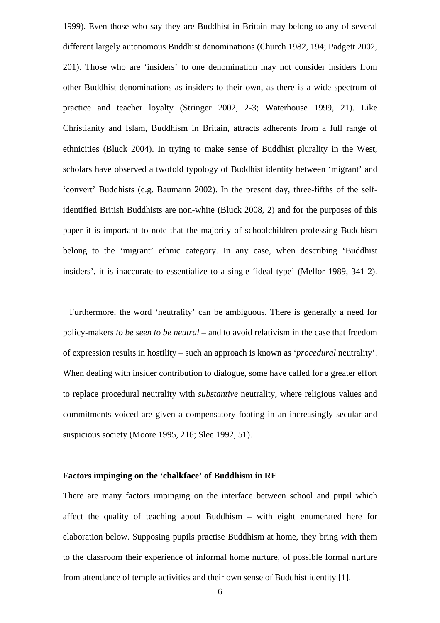1999). Even those who say they are Buddhist in Britain may belong to any of several different largely autonomous Buddhist denominations (Church 1982, 194; Padgett 2002, 201). Those who are 'insiders' to one denomination may not consider insiders from other Buddhist denominations as insiders to their own, as there is a wide spectrum of practice and teacher loyalty (Stringer 2002, 2-3; Waterhouse 1999, 21). Like Christianity and Islam, Buddhism in Britain, attracts adherents from a full range of ethnicities (Bluck 2004). In trying to make sense of Buddhist plurality in the West, scholars have observed a twofold typology of Buddhist identity between 'migrant' and 'convert' Buddhists (e.g. Baumann 2002). In the present day, three-fifths of the selfidentified British Buddhists are non-white (Bluck 2008, 2) and for the purposes of this paper it is important to note that the majority of schoolchildren professing Buddhism belong to the 'migrant' ethnic category. In any case, when describing 'Buddhist insiders', it is inaccurate to essentialize to a single 'ideal type' (Mellor 1989, 341-2).

 Furthermore, the word 'neutrality' can be ambiguous. There is generally a need for policy-makers *to be seen to be neutral* – and to avoid relativism in the case that freedom of expression results in hostility – such an approach is known as '*procedural* neutrality'. When dealing with insider contribution to dialogue, some have called for a greater effort to replace procedural neutrality with *substantive* neutrality, where religious values and commitments voiced are given a compensatory footing in an increasingly secular and suspicious society (Moore 1995, 216; Slee 1992, 51).

#### **Factors impinging on the 'chalkface' of Buddhism in RE**

There are many factors impinging on the interface between school and pupil which affect the quality of teaching about Buddhism – with eight enumerated here for elaboration below. Supposing pupils practise Buddhism at home, they bring with them to the classroom their experience of informal home nurture, of possible formal nurture from attendance of temple activities and their own sense of Buddhist identity [1].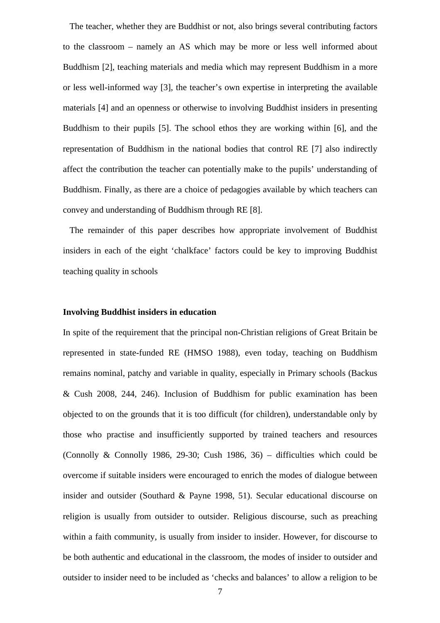The teacher, whether they are Buddhist or not, also brings several contributing factors to the classroom – namely an AS which may be more or less well informed about Buddhism [2], teaching materials and media which may represent Buddhism in a more or less well-informed way [3], the teacher's own expertise in interpreting the available materials [4] and an openness or otherwise to involving Buddhist insiders in presenting Buddhism to their pupils [5]. The school ethos they are working within [6], and the representation of Buddhism in the national bodies that control RE [7] also indirectly affect the contribution the teacher can potentially make to the pupils' understanding of Buddhism. Finally, as there are a choice of pedagogies available by which teachers can convey and understanding of Buddhism through RE [8].

 The remainder of this paper describes how appropriate involvement of Buddhist insiders in each of the eight 'chalkface' factors could be key to improving Buddhist teaching quality in schools

## **Involving Buddhist insiders in education**

In spite of the requirement that the principal non-Christian religions of Great Britain be represented in state-funded RE (HMSO 1988), even today, teaching on Buddhism remains nominal, patchy and variable in quality, especially in Primary schools (Backus & Cush 2008, 244, 246). Inclusion of Buddhism for public examination has been objected to on the grounds that it is too difficult (for children), understandable only by those who practise and insufficiently supported by trained teachers and resources (Connolly & Connolly 1986, 29-30; Cush 1986, 36) – difficulties which could be overcome if suitable insiders were encouraged to enrich the modes of dialogue between insider and outsider (Southard & Payne 1998, 51). Secular educational discourse on religion is usually from outsider to outsider. Religious discourse, such as preaching within a faith community, is usually from insider to insider. However, for discourse to be both authentic and educational in the classroom, the modes of insider to outsider and outsider to insider need to be included as 'checks and balances' to allow a religion to be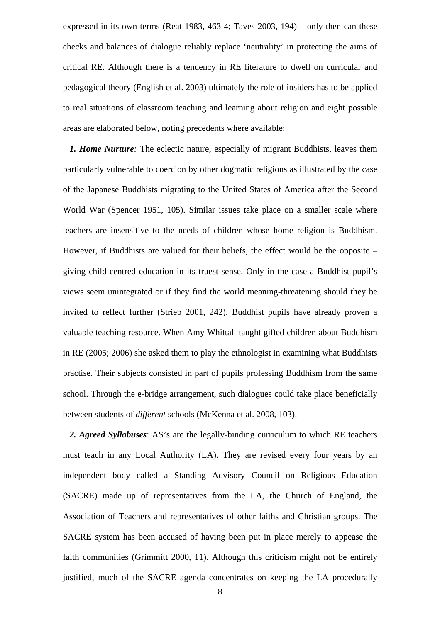expressed in its own terms (Reat 1983, 463-4; Taves 2003, 194) – only then can these checks and balances of dialogue reliably replace 'neutrality' in protecting the aims of critical RE. Although there is a tendency in RE literature to dwell on curricular and pedagogical theory (English et al. 2003) ultimately the role of insiders has to be applied to real situations of classroom teaching and learning about religion and eight possible areas are elaborated below, noting precedents where available:

 *1. Home Nurture:* The eclectic nature, especially of migrant Buddhists, leaves them particularly vulnerable to coercion by other dogmatic religions as illustrated by the case of the Japanese Buddhists migrating to the United States of America after the Second World War (Spencer 1951, 105). Similar issues take place on a smaller scale where teachers are insensitive to the needs of children whose home religion is Buddhism. However, if Buddhists are valued for their beliefs, the effect would be the opposite – giving child-centred education in its truest sense. Only in the case a Buddhist pupil's views seem unintegrated or if they find the world meaning-threatening should they be invited to reflect further (Strieb 2001, 242). Buddhist pupils have already proven a valuable teaching resource. When Amy Whittall taught gifted children about Buddhism in RE (2005; 2006) she asked them to play the ethnologist in examining what Buddhists practise. Their subjects consisted in part of pupils professing Buddhism from the same school. Through the e-bridge arrangement, such dialogues could take place beneficially between students of *different* schools (McKenna et al. 2008, 103).

*2. Agreed Syllabuses*: AS's are the legally-binding curriculum to which RE teachers must teach in any Local Authority (LA). They are revised every four years by an independent body called a Standing Advisory Council on Religious Education (SACRE) made up of representatives from the LA, the Church of England, the Association of Teachers and representatives of other faiths and Christian groups. The SACRE system has been accused of having been put in place merely to appease the faith communities (Grimmitt 2000, 11). Although this criticism might not be entirely justified, much of the SACRE agenda concentrates on keeping the LA procedurally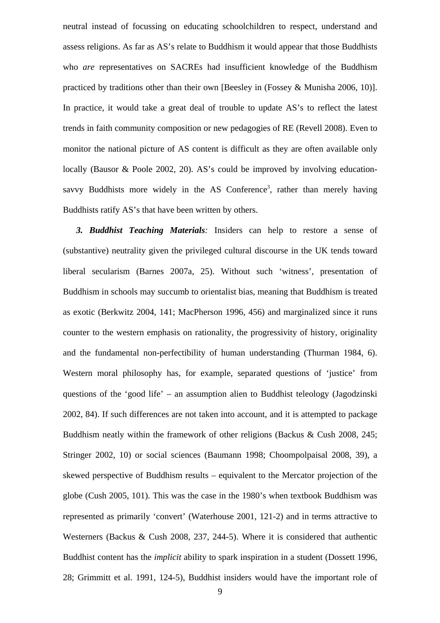neutral instead of focussing on educating schoolchildren to respect, understand and assess religions. As far as AS's relate to Buddhism it would appear that those Buddhists who *are* representatives on SACREs had insufficient knowledge of the Buddhism practiced by traditions other than their own [Beesley in (Fossey & Munisha 2006, 10)]. In practice, it would take a great deal of trouble to update AS's to reflect the latest trends in faith community composition or new pedagogies of RE (Revell 2008). Even to monitor the national picture of AS content is difficult as they are often available only locally (Bausor & Poole 2002, 20). AS's could be improved by involving educationsavvy Buddhists more widely in the AS Conference<sup>3</sup>, rather than merely having Buddhists ratify AS's that have been written by others.

*3. Buddhist Teaching Materials:* Insiders can help to restore a sense of (substantive) neutrality given the privileged cultural discourse in the UK tends toward liberal secularism (Barnes 2007a, 25). Without such 'witness', presentation of Buddhism in schools may succumb to orientalist bias, meaning that Buddhism is treated as exotic (Berkwitz 2004, 141; MacPherson 1996, 456) and marginalized since it runs counter to the western emphasis on rationality, the progressivity of history, originality and the fundamental non-perfectibility of human understanding (Thurman 1984, 6). Western moral philosophy has, for example, separated questions of 'justice' from questions of the 'good life' – an assumption alien to Buddhist teleology (Jagodzinski 2002, 84). If such differences are not taken into account, and it is attempted to package Buddhism neatly within the framework of other religions (Backus & Cush 2008, 245; Stringer 2002, 10) or social sciences (Baumann 1998; Choompolpaisal 2008, 39), a skewed perspective of Buddhism results – equivalent to the Mercator projection of the globe (Cush 2005, 101). This was the case in the 1980's when textbook Buddhism was represented as primarily 'convert' (Waterhouse 2001, 121-2) and in terms attractive to Westerners (Backus & Cush 2008, 237, 244-5). Where it is considered that authentic Buddhist content has the *implicit* ability to spark inspiration in a student (Dossett 1996, 28; Grimmitt et al. 1991, 124-5), Buddhist insiders would have the important role of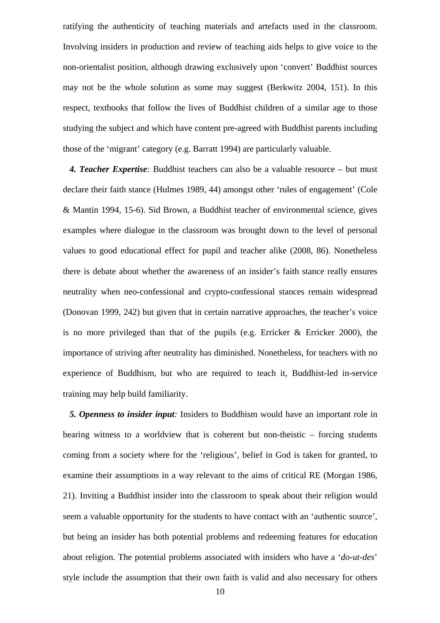ratifying the authenticity of teaching materials and artefacts used in the classroom. Involving insiders in production and review of teaching aids helps to give voice to the non-orientalist position, although drawing exclusively upon 'convert' Buddhist sources may not be the whole solution as some may suggest (Berkwitz 2004, 151). In this respect, textbooks that follow the lives of Buddhist children of a similar age to those studying the subject and which have content pre-agreed with Buddhist parents including those of the 'migrant' category (e.g. Barratt 1994) are particularly valuable.

*4. Teacher Expertise:* Buddhist teachers can also be a valuable resource – but must declare their faith stance (Hulmes 1989, 44) amongst other 'rules of engagement' (Cole & Mantin 1994, 15-6). Sid Brown, a Buddhist teacher of environmental science, gives examples where dialogue in the classroom was brought down to the level of personal values to good educational effect for pupil and teacher alike (2008, 86). Nonetheless there is debate about whether the awareness of an insider's faith stance really ensures neutrality when neo-confessional and crypto-confessional stances remain widespread (Donovan 1999, 242) but given that in certain narrative approaches, the teacher's voice is no more privileged than that of the pupils (e.g. Erricker & Erricker 2000), the importance of striving after neutrality has diminished. Nonetheless, for teachers with no experience of Buddhism, but who are required to teach it, Buddhist-led in-service training may help build familiarity.

*5. Openness to insider input:* Insiders to Buddhism would have an important role in bearing witness to a worldview that is coherent but non-theistic – forcing students coming from a society where for the 'religious', belief in God is taken for granted, to examine their assumptions in a way relevant to the aims of critical RE (Morgan 1986, 21). Inviting a Buddhist insider into the classroom to speak about their religion would seem a valuable opportunity for the students to have contact with an 'authentic source', but being an insider has both potential problems and redeeming features for education about religion. The potential problems associated with insiders who have a '*do-ut-des*' style include the assumption that their own faith is valid and also necessary for others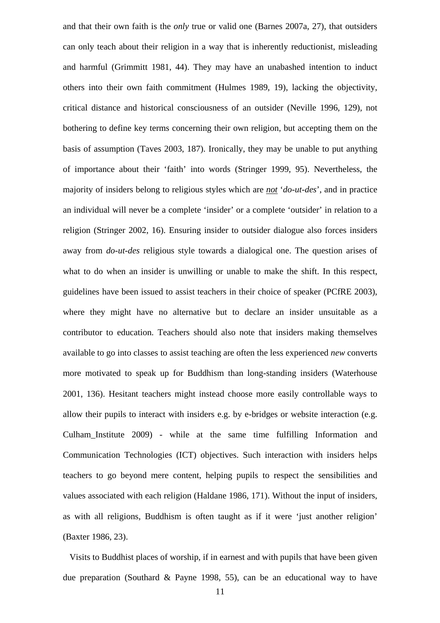and that their own faith is the *only* true or valid one (Barnes 2007a, 27), that outsiders can only teach about their religion in a way that is inherently reductionist, misleading and harmful (Grimmitt 1981, 44). They may have an unabashed intention to induct others into their own faith commitment (Hulmes 1989, 19), lacking the objectivity, critical distance and historical consciousness of an outsider (Neville 1996, 129), not bothering to define key terms concerning their own religion, but accepting them on the basis of assumption (Taves 2003, 187). Ironically, they may be unable to put anything of importance about their 'faith' into words (Stringer 1999, 95). Nevertheless, the majority of insiders belong to religious styles which are *not* '*do-ut-des*', and in practice an individual will never be a complete 'insider' or a complete 'outsider' in relation to a religion (Stringer 2002, 16). Ensuring insider to outsider dialogue also forces insiders away from *do-ut-des* religious style towards a dialogical one. The question arises of what to do when an insider is unwilling or unable to make the shift. In this respect, guidelines have been issued to assist teachers in their choice of speaker (PCfRE 2003), where they might have no alternative but to declare an insider unsuitable as a contributor to education. Teachers should also note that insiders making themselves available to go into classes to assist teaching are often the less experienced *new* converts more motivated to speak up for Buddhism than long-standing insiders (Waterhouse 2001, 136). Hesitant teachers might instead choose more easily controllable ways to allow their pupils to interact with insiders e.g. by e-bridges or website interaction (e.g. Culham\_Institute 2009) - while at the same time fulfilling Information and Communication Technologies (ICT) objectives. Such interaction with insiders helps teachers to go beyond mere content, helping pupils to respect the sensibilities and values associated with each religion (Haldane 1986, 171). Without the input of insiders, as with all religions, Buddhism is often taught as if it were 'just another religion' (Baxter 1986, 23).

 Visits to Buddhist places of worship, if in earnest and with pupils that have been given due preparation (Southard & Payne 1998, 55), can be an educational way to have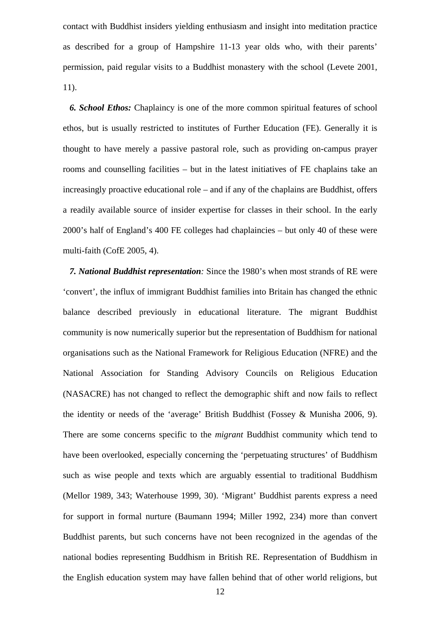contact with Buddhist insiders yielding enthusiasm and insight into meditation practice as described for a group of Hampshire 11-13 year olds who, with their parents' permission, paid regular visits to a Buddhist monastery with the school (Levete 2001, 11).

*6. School Ethos:* Chaplaincy is one of the more common spiritual features of school ethos, but is usually restricted to institutes of Further Education (FE). Generally it is thought to have merely a passive pastoral role, such as providing on-campus prayer rooms and counselling facilities – but in the latest initiatives of FE chaplains take an increasingly proactive educational role – and if any of the chaplains are Buddhist, offers a readily available source of insider expertise for classes in their school. In the early 2000's half of England's 400 FE colleges had chaplaincies – but only 40 of these were multi-faith (CofE 2005, 4).

*7. National Buddhist representation:* Since the 1980's when most strands of RE were 'convert', the influx of immigrant Buddhist families into Britain has changed the ethnic balance described previously in educational literature. The migrant Buddhist community is now numerically superior but the representation of Buddhism for national organisations such as the National Framework for Religious Education (NFRE) and the National Association for Standing Advisory Councils on Religious Education (NASACRE) has not changed to reflect the demographic shift and now fails to reflect the identity or needs of the 'average' British Buddhist (Fossey & Munisha 2006, 9). There are some concerns specific to the *migrant* Buddhist community which tend to have been overlooked, especially concerning the 'perpetuating structures' of Buddhism such as wise people and texts which are arguably essential to traditional Buddhism (Mellor 1989, 343; Waterhouse 1999, 30). 'Migrant' Buddhist parents express a need for support in formal nurture (Baumann 1994; Miller 1992, 234) more than convert Buddhist parents, but such concerns have not been recognized in the agendas of the national bodies representing Buddhism in British RE. Representation of Buddhism in the English education system may have fallen behind that of other world religions, but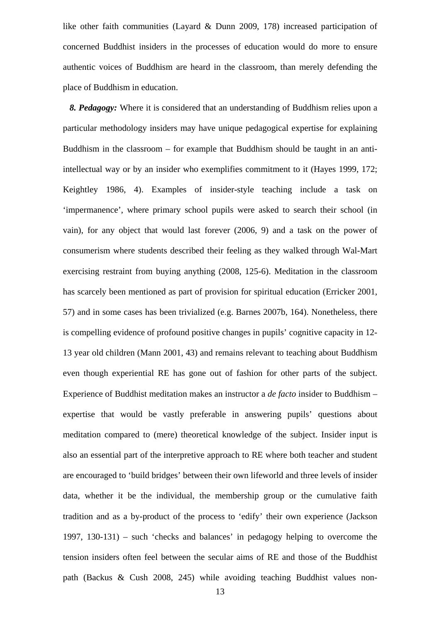like other faith communities (Layard & Dunn 2009, 178) increased participation of concerned Buddhist insiders in the processes of education would do more to ensure authentic voices of Buddhism are heard in the classroom, than merely defending the place of Buddhism in education.

*8. Pedagogy:* Where it is considered that an understanding of Buddhism relies upon a particular methodology insiders may have unique pedagogical expertise for explaining Buddhism in the classroom – for example that Buddhism should be taught in an antiintellectual way or by an insider who exemplifies commitment to it (Hayes 1999, 172; Keightley 1986, 4). Examples of insider-style teaching include a task on 'impermanence', where primary school pupils were asked to search their school (in vain), for any object that would last forever (2006, 9) and a task on the power of consumerism where students described their feeling as they walked through Wal-Mart exercising restraint from buying anything (2008, 125-6). Meditation in the classroom has scarcely been mentioned as part of provision for spiritual education (Erricker 2001, 57) and in some cases has been trivialized (e.g. Barnes 2007b, 164). Nonetheless, there is compelling evidence of profound positive changes in pupils' cognitive capacity in 12- 13 year old children (Mann 2001, 43) and remains relevant to teaching about Buddhism even though experiential RE has gone out of fashion for other parts of the subject. Experience of Buddhist meditation makes an instructor a *de facto* insider to Buddhism – expertise that would be vastly preferable in answering pupils' questions about meditation compared to (mere) theoretical knowledge of the subject. Insider input is also an essential part of the interpretive approach to RE where both teacher and student are encouraged to 'build bridges' between their own lifeworld and three levels of insider data, whether it be the individual, the membership group or the cumulative faith tradition and as a by-product of the process to 'edify' their own experience (Jackson 1997, 130-131) – such 'checks and balances' in pedagogy helping to overcome the tension insiders often feel between the secular aims of RE and those of the Buddhist path (Backus & Cush 2008, 245) while avoiding teaching Buddhist values non-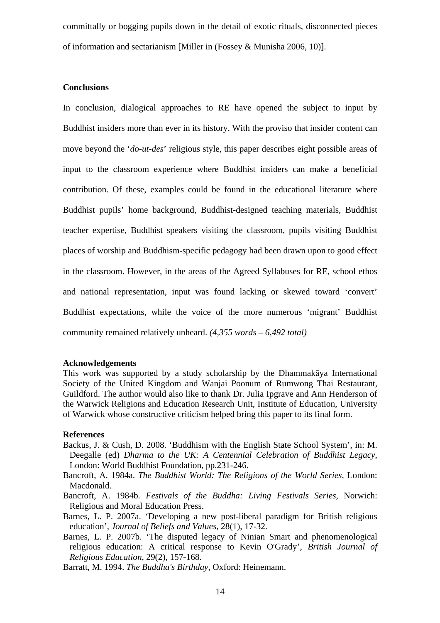committally or bogging pupils down in the detail of exotic rituals, disconnected pieces of information and sectarianism [Miller in (Fossey & Munisha 2006, 10)].

## **Conclusions**

In conclusion, dialogical approaches to RE have opened the subject to input by Buddhist insiders more than ever in its history. With the proviso that insider content can move beyond the '*do-ut-des*' religious style, this paper describes eight possible areas of input to the classroom experience where Buddhist insiders can make a beneficial contribution. Of these, examples could be found in the educational literature where Buddhist pupils' home background, Buddhist-designed teaching materials, Buddhist teacher expertise, Buddhist speakers visiting the classroom, pupils visiting Buddhist places of worship and Buddhism-specific pedagogy had been drawn upon to good effect in the classroom. However, in the areas of the Agreed Syllabuses for RE, school ethos and national representation, input was found lacking or skewed toward 'convert' Buddhist expectations, while the voice of the more numerous 'migrant' Buddhist community remained relatively unheard. *(4,355 words – 6,492 total)* 

#### **Acknowledgements**

This work was supported by a study scholarship by the Dhammakāya International Society of the United Kingdom and Wanjai Poonum of Rumwong Thai Restaurant, Guildford. The author would also like to thank Dr. Julia Ipgrave and Ann Henderson of the Warwick Religions and Education Research Unit, Institute of Education, University of Warwick whose constructive criticism helped bring this paper to its final form.

#### **References**

- Backus, J. & Cush, D. 2008. 'Buddhism with the English State School System', in: M. Deegalle (ed) *Dharma to the UK: A Centennial Celebration of Buddhist Legacy*, London: World Buddhist Foundation, pp.231-246.
- Bancroft, A. 1984a. *The Buddhist World: The Religions of the World Series*, London: Macdonald.
- Bancroft, A. 1984b. *Festivals of the Buddha: Living Festivals Series*, Norwich: Religious and Moral Education Press.
- Barnes, L. P. 2007a. 'Developing a new post-liberal paradigm for British religious education', *Journal of Beliefs and Values*, 28(1), 17-32.
- Barnes, L. P. 2007b. 'The disputed legacy of Ninian Smart and phenomenological religious education: A critical response to Kevin O'Grady', *British Journal of Religious Education*, 29(2), 157-168.

Barratt, M. 1994. *The Buddha's Birthday*, Oxford: Heinemann.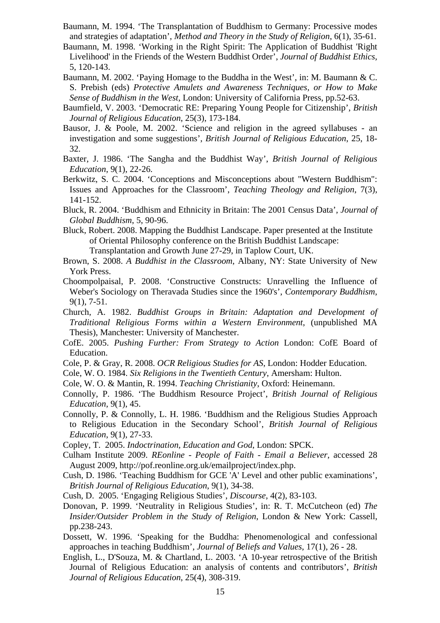- Baumann, M. 1994. 'The Transplantation of Buddhism to Germany: Processive modes and strategies of adaptation', *Method and Theory in the Study of Religion*, 6(1), 35-61.
- Baumann, M. 1998. 'Working in the Right Spirit: The Application of Buddhist 'Right Livelihood' in the Friends of the Western Buddhist Order', *Journal of Buddhist Ethics*, 5, 120-143.
- Baumann, M. 2002. 'Paying Homage to the Buddha in the West', in: M. Baumann & C. S. Prebish (eds) *Protective Amulets and Awareness Techniques, or How to Make Sense of Buddhism in the West*, London: University of California Press, pp.52-63.
- Baumfield, V. 2003. 'Democratic RE: Preparing Young People for Citizenship', *British Journal of Religious Education*, 25(3), 173-184.
- Bausor, J. & Poole, M. 2002. 'Science and religion in the agreed syllabuses an investigation and some suggestions', *British Journal of Religious Education*, 25, 18- 32.
- Baxter, J. 1986. 'The Sangha and the Buddhist Way', *British Journal of Religious Education*, 9(1), 22-26.
- Berkwitz, S. C. 2004. 'Conceptions and Misconceptions about "Western Buddhism": Issues and Approaches for the Classroom', *Teaching Theology and Religion*, 7(3), 141-152.
- Bluck, R. 2004. 'Buddhism and Ethnicity in Britain: The 2001 Census Data', *Journal of Global Buddhism*, 5, 90-96.
- Bluck, Robert. 2008. Mapping the Buddhist Landscape. Paper presented at the Institute of Oriental Philosophy conference on the British Buddhist Landscape: Transplantation and Growth June 27-29, in Taplow Court, UK.
- Brown, S. 2008. *A Buddhist in the Classroom*, Albany, NY: State University of New York Press.
- Choompolpaisal, P. 2008. 'Constructive Constructs: Unravelling the Influence of Weber's Sociology on Theravada Studies since the 1960's', *Contemporary Buddhism*, 9(1), 7-51.
- Church, A. 1982. *Buddhist Groups in Britain: Adaptation and Development of Traditional Religious Forms within a Western Environment*, (unpublished MA Thesis), Manchester: University of Manchester.
- CofE. 2005. *Pushing Further: From Strategy to Action* London: CofE Board of Education.
- Cole, P. & Gray, R. 2008. *OCR Religious Studies for AS*, London: Hodder Education.
- Cole, W. O. 1984. *Six Religions in the Twentieth Century*, Amersham: Hulton.
- Cole, W. O. & Mantin, R. 1994. *Teaching Christianity*, Oxford: Heinemann.
- Connolly, P. 1986. 'The Buddhism Resource Project', *British Journal of Religious Education*, 9(1), 45.
- Connolly, P. & Connolly, L. H. 1986. 'Buddhism and the Religious Studies Approach to Religious Education in the Secondary School', *British Journal of Religious Education*, 9(1), 27-33.
- Copley, T. 2005. *Indoctrination, Education and God*, London: SPCK.
- Culham Institute 2009. *REonline People of Faith Email a Believer*, accessed 28 August 2009, http://pof.reonline.org.uk/emailproject/index.php.
- Cush, D. 1986. 'Teaching Buddhism for GCE 'A' Level and other public examinations', *British Journal of Religious Education*, 9(1), 34-38.
- Cush, D. 2005. 'Engaging Religious Studies', *Discourse*, 4(2), 83-103.
- Donovan, P. 1999. 'Neutrality in Religious Studies', in: R. T. McCutcheon (ed) *The Insider/Outsider Problem in the Study of Religion*, London & New York: Cassell, pp.238-243.
- Dossett, W. 1996. 'Speaking for the Buddha: Phenomenological and confessional approaches in teaching Buddhism', *Journal of Beliefs and Values*, 17(1), 26 - 28.
- English, L., D'Souza, M. & Chartland, L. 2003. 'A 10-year retrospective of the British Journal of Religious Education: an analysis of contents and contributors', *British Journal of Religious Education*, 25(4), 308-319.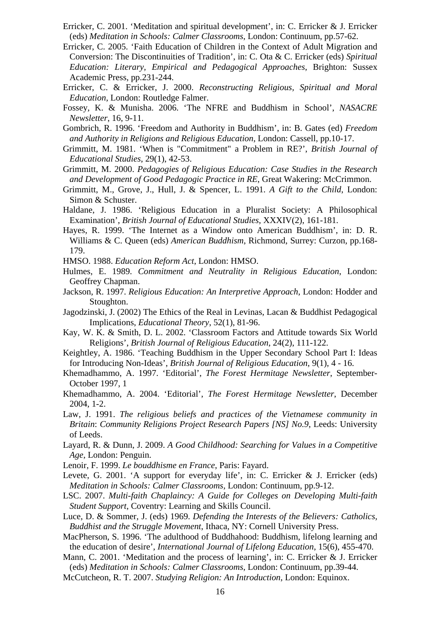- Erricker, C. 2001. 'Meditation and spiritual development', in: C. Erricker & J. Erricker (eds) *Meditation in Schools: Calmer Classrooms*, London: Continuum, pp.57-62.
- Erricker, C. 2005. 'Faith Education of Children in the Context of Adult Migration and Conversion: The Discontinuities of Tradition', in: C. Ota & C. Erricker (eds) *Spiritual Education: Literary, Empirical and Pedagogical Approaches*, Brighton: Sussex Academic Press, pp.231-244.
- Erricker, C. & Erricker, J. 2000. *Reconstructing Religious, Spiritual and Moral Education*, London: Routledge Falmer.
- Fossey, K. & Munisha. 2006. 'The NFRE and Buddhism in School', *NASACRE Newsletter*, 16, 9-11.
- Gombrich, R. 1996. 'Freedom and Authority in Buddhism', in: B. Gates (ed) *Freedom and Authority in Religions and Religious Education*, London: Cassell, pp.10-17.
- Grimmitt, M. 1981. 'When is "Commitment" a Problem in RE?', *British Journal of Educational Studies*, 29(1), 42-53.
- Grimmitt, M. 2000. *Pedagogies of Religious Education: Case Studies in the Research and Development of Good Pedagogic Practice in RE*, Great Wakering: McCrimmon.
- Grimmitt, M., Grove, J., Hull, J. & Spencer, L. 1991. *A Gift to the Child*, London: Simon & Schuster.
- Haldane, J. 1986. 'Religious Education in a Pluralist Society: A Philosophical Examination', *British Journal of Educational Studies*, XXXIV(2), 161-181.
- Hayes, R. 1999. 'The Internet as a Window onto American Buddhism', in: D. R. Williams & C. Queen (eds) *American Buddhism*, Richmond, Surrey: Curzon, pp.168- 179.
- HMSO. 1988. *Education Reform Act*, London: HMSO.
- Hulmes, E. 1989. *Commitment and Neutrality in Religious Education*, London: Geoffrey Chapman.
- Jackson, R. 1997. *Religious Education: An Interpretive Approach*, London: Hodder and Stoughton.
- Jagodzinski, J. (2002) The Ethics of the Real in Levinas, Lacan & Buddhist Pedagogical Implications, *Educational Theory*, 52(1), 81-96.
- Kay, W. K. & Smith, D. L. 2002. 'Classroom Factors and Attitude towards Six World Religions', *British Journal of Religious Education*, 24(2), 111-122.
- Keightley, A. 1986. 'Teaching Buddhism in the Upper Secondary School Part I: Ideas for Introducing Non-Ideas', *British Journal of Religious Education*, 9(1), 4 - 16.
- Khemadhammo, A. 1997. 'Editorial', *The Forest Hermitage Newsletter*, September-October 1997, 1
- Khemadhammo, A. 2004. 'Editorial', *The Forest Hermitage Newsletter*, December 2004, 1-2.
- Law, J. 1991. *The religious beliefs and practices of the Vietnamese community in Britain*: *Community Religions Project Research Papers [NS] No.9*, Leeds: University of Leeds.
- Layard, R. & Dunn, J. 2009. *A Good Childhood: Searching for Values in a Competitive Age*, London: Penguin.
- Lenoir, F. 1999. *Le bouddhisme en France*, Paris: Fayard.
- Levete, G. 2001. 'A support for everyday life', in: C. Erricker  $\&$  J. Erricker (eds) *Meditation in Schools: Calmer Classrooms,* London: Continuum, pp.9-12.
- LSC. 2007. *Multi-faith Chaplaincy: A Guide for Colleges on Developing Multi-faith Student Support*, Coventry: Learning and Skills Council.
- Luce, D. & Sommer, J. (eds) 1969. *Defending the Interests of the Believers: Catholics, Buddhist and the Struggle Movement*, Ithaca, NY: Cornell University Press.
- MacPherson, S. 1996. 'The adulthood of Buddhahood: Buddhism, lifelong learning and the education of desire', *International Journal of Lifelong Education*, 15(6), 455-470.
- Mann, C. 2001. 'Meditation and the process of learning', in: C. Erricker & J. Erricker (eds) *Meditation in Schools: Calmer Classrooms*, London: Continuum, pp.39-44.
- McCutcheon, R. T. 2007. *Studying Religion: An Introduction*, London: Equinox.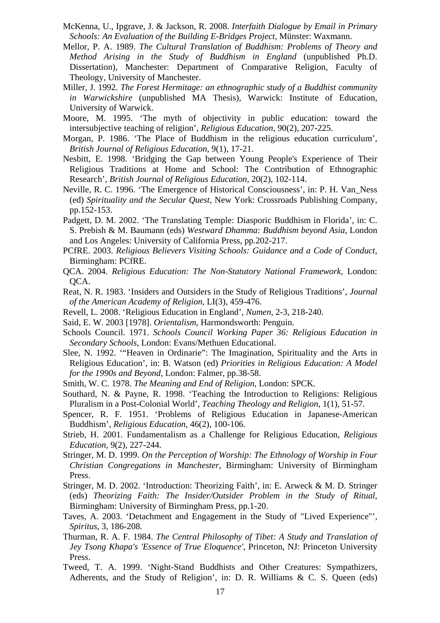- McKenna, U., Ipgrave, J. & Jackson, R. 2008. *Interfaith Dialogue by Email in Primary Schools: An Evaluation of the Building E-Bridges Project*, Münster: Waxmann.
- Mellor, P. A. 1989. *The Cultural Translation of Buddhism: Problems of Theory and Method Arising in the Study of Buddhism in England* (unpublished Ph.D. Dissertation), Manchester: Department of Comparative Religion, Faculty of Theology, University of Manchester.
- Miller, J. 1992. *The Forest Hermitage: an ethnographic study of a Buddhist community in Warwickshire* (unpublished MA Thesis), Warwick: Institute of Education, University of Warwick.
- Moore, M. 1995. 'The myth of objectivity in public education: toward the intersubjective teaching of religion', *Religious Education*, 90(2), 207-225.
- Morgan, P. 1986. 'The Place of Buddhism in the religious education curriculum', *British Journal of Religious Education*, 9(1), 17-21.
- Nesbitt, E. 1998. 'Bridging the Gap between Young People's Experience of Their Religious Traditions at Home and School: The Contribution of Ethnographic Research', *British Journal of Religious Education*, 20(2), 102-114.
- Neville, R. C. 1996. 'The Emergence of Historical Consciousness', in: P. H. Van\_Ness (ed) *Spirituality and the Secular Quest*, New York: Crossroads Publishing Company, pp.152-153.
- Padgett, D. M. 2002. 'The Translating Temple: Diasporic Buddhism in Florida', in: C. S. Prebish & M. Baumann (eds) *Westward Dhamma: Buddhism beyond Asia*, London and Los Angeles: University of California Press, pp.202-217.
- PCfRE. 2003. *Religious Believers Visiting Schools: Guidance and a Code of Conduct*, Birmingham: PCfRE.
- QCA. 2004. *Religious Education: The Non-Statutory National Framework*, London: QCA.
- Reat, N. R. 1983. 'Insiders and Outsiders in the Study of Religious Traditions', *Journal of the American Academy of Religion*, LI(3), 459-476.
- Revell, L. 2008. 'Religious Education in England', *Numen*, 2-3, 218-240.
- Said, E. W. 2003 [1978]. *Orientalism*, Harmondsworth: Penguin.
- Schools Council. 1971. *Schools Council Working Paper 36: Religious Education in Secondary Schools*, London: Evans/Methuen Educational.
- Slee, N. 1992. '"Heaven in Ordinarie": The Imagination, Spirituality and the Arts in Religious Education', in: B. Watson (ed) *Priorities in Religious Education: A Model for the 1990s and Beyond,* London: Falmer, pp.38-58.
- Smith, W. C. 1978. *The Meaning and End of Religion*, London: SPCK.
- Southard, N. & Payne, R. 1998. 'Teaching the Introduction to Religions: Religious Pluralism in a Post-Colonial World', *Teaching Theology and Religion*, 1(1), 51-57.
- Spencer, R. F. 1951. 'Problems of Religious Education in Japanese-American Buddhism', *Religious Education*, 46(2), 100-106.
- Strieb, H. 2001. Fundamentalism as a Challenge for Religious Education, *Religious Education*, 9(2), 227-244.
- Stringer, M. D. 1999. *On the Perception of Worship: The Ethnology of Worship in Four Christian Congregations in Manchester*, Birmingham: University of Birmingham Press.
- Stringer, M. D. 2002. 'Introduction: Theorizing Faith', in: E. Arweck & M. D. Stringer (eds) *Theorizing Faith: The Insider/Outsider Problem in the Study of Ritual*, Birmingham: University of Birmingham Press, pp.1-20.
- Taves, A. 2003. 'Detachment and Engagement in the Study of "Lived Experience"', *Spiritus*, 3, 186-208.
- Thurman, R. A. F. 1984. *The Central Philosophy of Tibet: A Study and Translation of Jey Tsong Khapa's 'Essence of True Eloquence'*, Princeton, NJ: Princeton University Press.
- Tweed, T. A. 1999. 'Night-Stand Buddhists and Other Creatures: Sympathizers, Adherents, and the Study of Religion', in: D. R. Williams & C. S. Queen (eds)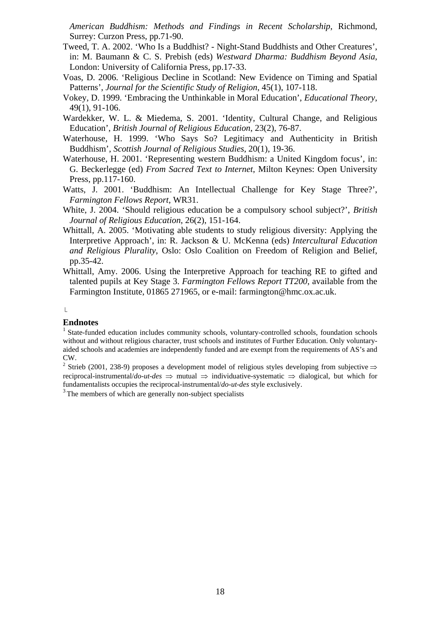*American Buddhism: Methods and Findings in Recent Scholarship*, Richmond, Surrey: Curzon Press, pp.71-90.

- Tweed, T. A. 2002. 'Who Is a Buddhist? Night-Stand Buddhists and Other Creatures', in: M. Baumann & C. S. Prebish (eds) *Westward Dharma: Buddhism Beyond Asia*, London: University of California Press, pp.17-33.
- Voas, D. 2006. 'Religious Decline in Scotland: New Evidence on Timing and Spatial Patterns', *Journal for the Scientific Study of Religion*, 45(1), 107-118.
- Vokey, D. 1999. 'Embracing the Unthinkable in Moral Education', *Educational Theory*, 49(1), 91-106.
- Wardekker, W. L. & Miedema, S. 2001. 'Identity, Cultural Change, and Religious Education', *British Journal of Religious Education*, 23(2), 76-87.
- Waterhouse, H. 1999. 'Who Says So? Legitimacy and Authenticity in British Buddhism', *Scottish Journal of Religious Studies*, 20(1), 19-36.
- Waterhouse, H. 2001. 'Representing western Buddhism: a United Kingdom focus', in: G. Beckerlegge (ed) *From Sacred Text to Internet*, Milton Keynes: Open University Press, pp.117-160.
- Watts, J. 2001. 'Buddhism: An Intellectual Challenge for Key Stage Three?', *Farmington Fellows Report*, WR31.
- White, J. 2004. 'Should religious education be a compulsory school subject?', *British Journal of Religious Education*, 26(2), 151-164.
- Whittall, A. 2005. 'Motivating able students to study religious diversity: Applying the Interpretive Approach', in: R. Jackson & U. McKenna (eds) *Intercultural Education and Religious Plurality*, Oslo: Oslo Coalition on Freedom of Religion and Belief, pp.35-42.
- Whittall, Amy. 2006. Using the Interpretive Approach for teaching RE to gifted and talented pupils at Key Stage 3. *Farmington Fellows Report TT200*, available from the Farmington Institute, 01865 271965, or e-mail: farmington@hmc.ox.ac.uk.

# $\mathsf L$

# **Endnotes**

<sup>1</sup> State-funded education includes community schools, voluntary-controlled schools, foundation schools without and without religious character, trust schools and institutes of Further Education. Only voluntaryaided schools and academies are independently funded and are exempt from the requirements of AS's and CW.

<sup>2</sup> Strieb (2001, 238-9) proposes a development model of religious styles developing from subjective  $\Rightarrow$ reciprocal-instrumental/*do-ut-des* ⇒ mutual ⇒ individuative-systematic ⇒ dialogical, but which for fundamentalists occupies the reciprocal-instrumental/*do-ut-des* style exclusively.

<sup>3</sup> The members of which are generally non-subject specialists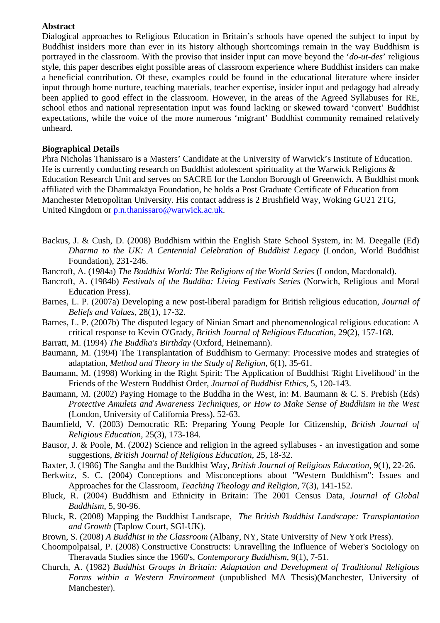# **Abstract**

Dialogical approaches to Religious Education in Britain's schools have opened the subject to input by Buddhist insiders more than ever in its history although shortcomings remain in the way Buddhism is portrayed in the classroom. With the proviso that insider input can move beyond the '*do-ut-des*' religious style, this paper describes eight possible areas of classroom experience where Buddhist insiders can make a beneficial contribution. Of these, examples could be found in the educational literature where insider input through home nurture, teaching materials, teacher expertise, insider input and pedagogy had already been applied to good effect in the classroom. However, in the areas of the Agreed Syllabuses for RE, school ethos and national representation input was found lacking or skewed toward 'convert' Buddhist expectations, while the voice of the more numerous 'migrant' Buddhist community remained relatively unheard.

# **Biographical Details**

Phra Nicholas Thanissaro is a Masters' Candidate at the University of Warwick's Institute of Education. He is currently conducting research on Buddhist adolescent spirituality at the Warwick Religions & Education Research Unit and serves on SACRE for the London Borough of Greenwich. A Buddhist monk affiliated with the Dhammakāya Foundation, he holds a Post Graduate Certificate of Education from Manchester Metropolitan University. His contact address is 2 Brushfield Way, Woking GU21 2TG, United Kingdom or p.n.thanissaro@warwick.ac.uk.

- Backus, J. & Cush, D. (2008) Buddhism within the English State School System, in: M. Deegalle (Ed) *Dharma to the UK: A Centennial Celebration of Buddhist Legacy* (London, World Buddhist Foundation), 231-246.
- Bancroft, A. (1984a) *The Buddhist World: The Religions of the World Series* (London, Macdonald).
- Bancroft, A. (1984b) *Festivals of the Buddha: Living Festivals Series* (Norwich, Religious and Moral Education Press).
- Barnes, L. P. (2007a) Developing a new post-liberal paradigm for British religious education, *Journal of Beliefs and Values*, 28(1), 17-32.
- Barnes, L. P. (2007b) The disputed legacy of Ninian Smart and phenomenological religious education: A critical response to Kevin O'Grady, *British Journal of Religious Education*, 29(2), 157-168.
- Barratt, M. (1994) *The Buddha's Birthday* (Oxford, Heinemann).
- Baumann, M. (1994) The Transplantation of Buddhism to Germany: Processive modes and strategies of adaptation, *Method and Theory in the Study of Religion*, 6(1), 35-61.
- Baumann, M. (1998) Working in the Right Spirit: The Application of Buddhist 'Right Livelihood' in the Friends of the Western Buddhist Order, *Journal of Buddhist Ethics*, 5, 120-143.
- Baumann, M. (2002) Paying Homage to the Buddha in the West, in: M. Baumann & C. S. Prebish (Eds) *Protective Amulets and Awareness Techniques, or How to Make Sense of Buddhism in the West* (London, University of California Press), 52-63.
- Baumfield, V. (2003) Democratic RE: Preparing Young People for Citizenship, *British Journal of Religious Education*, 25(3), 173-184.
- Bausor, J. & Poole, M. (2002) Science and religion in the agreed syllabuses an investigation and some suggestions, *British Journal of Religious Education*, 25, 18-32.
- Baxter, J. (1986) The Sangha and the Buddhist Way, *British Journal of Religious Education*, 9(1), 22-26.
- Berkwitz, S. C. (2004) Conceptions and Misconceptions about "Western Buddhism": Issues and Approaches for the Classroom, *Teaching Theology and Religion*, 7(3), 141-152.
- Bluck, R. (2004) Buddhism and Ethnicity in Britain: The 2001 Census Data, *Journal of Global Buddhism*, 5, 90-96.
- Bluck, R. (2008) Mapping the Buddhist Landscape, *The British Buddhist Landscape: Transplantation and Growth* (Taplow Court, SGI-UK).
- Brown, S. (2008) *A Buddhist in the Classroom* (Albany, NY, State University of New York Press).
- Choompolpaisal, P. (2008) Constructive Constructs: Unravelling the Influence of Weber's Sociology on Theravada Studies since the 1960's, *Contemporary Buddhism*, 9(1), 7-51.
- Church, A. (1982) *Buddhist Groups in Britain: Adaptation and Development of Traditional Religious Forms within a Western Environment* (unpublished MA Thesis)(Manchester, University of Manchester).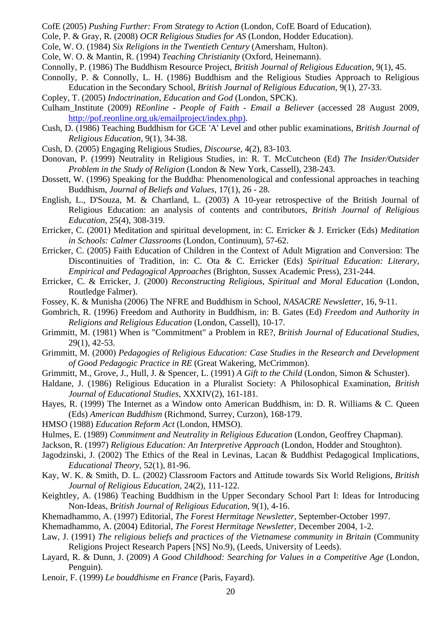- CofE (2005) *Pushing Further: From Strategy to Action* (London, CofE Board of Education).
- Cole, P. & Gray, R. (2008) *OCR Religious Studies for AS* (London, Hodder Education).
- Cole, W. O. (1984) *Six Religions in the Twentieth Century* (Amersham, Hulton).
- Cole, W. O. & Mantin, R. (1994) *Teaching Christianity* (Oxford, Heinemann).
- Connolly, P. (1986) The Buddhism Resource Project, *British Journal of Religious Education*, 9(1), 45.
- Connolly, P. & Connolly, L. H. (1986) Buddhism and the Religious Studies Approach to Religious Education in the Secondary School, *British Journal of Religious Education*, 9(1), 27-33.
- Copley, T. (2005) *Indoctrination, Education and God* (London, SPCK).
- Culham\_Institute (2009) *REonline People of Faith Email a Believer* (accessed 28 August 2009, http://pof.reonline.org.uk/emailproject/index.php).
- Cush, D. (1986) Teaching Buddhism for GCE 'A' Level and other public examinations, *British Journal of Religious Education*, 9(1), 34-38.
- Cush, D. (2005) Engaging Religious Studies, *Discourse*, 4(2), 83-103.
- Donovan, P. (1999) Neutrality in Religious Studies, in: R. T. McCutcheon (Ed) *The Insider/Outsider Problem in the Study of Religion* (London & New York, Cassell), 238-243.
- Dossett, W. (1996) Speaking for the Buddha: Phenomenological and confessional approaches in teaching Buddhism, *Journal of Beliefs and Values*, 17(1), 26 - 28.
- English, L., D'Souza, M. & Chartland, L. (2003) A 10-year retrospective of the British Journal of Religious Education: an analysis of contents and contributors, *British Journal of Religious Education*, 25(4), 308-319.
- Erricker, C. (2001) Meditation and spiritual development, in: C. Erricker & J. Erricker (Eds) *Meditation in Schools: Calmer Classrooms* (London, Continuum), 57-62.
- Erricker, C. (2005) Faith Education of Children in the Context of Adult Migration and Conversion: The Discontinuities of Tradition, in: C. Ota & C. Erricker (Eds) *Spiritual Education: Literary, Empirical and Pedagogical Approaches* (Brighton, Sussex Academic Press), 231-244.
- Erricker, C. & Erricker, J. (2000) *Reconstructing Religious, Spiritual and Moral Education* (London, Routledge Falmer).
- Fossey, K. & Munisha (2006) The NFRE and Buddhism in School, *NASACRE Newsletter*, 16, 9-11.
- Gombrich, R. (1996) Freedom and Authority in Buddhism, in: B. Gates (Ed) *Freedom and Authority in Religions and Religious Education* (London, Cassell), 10-17.
- Grimmitt, M. (1981) When is "Commitment" a Problem in RE?, *British Journal of Educational Studies*, 29(1), 42-53.
- Grimmitt, M. (2000) *Pedagogies of Religious Education: Case Studies in the Research and Development of Good Pedagogic Practice in RE* (Great Wakering, McCrimmon).
- Grimmitt, M., Grove, J., Hull, J. & Spencer, L. (1991) *A Gift to the Child* (London, Simon & Schuster).
- Haldane, J. (1986) Religious Education in a Pluralist Society: A Philosophical Examination, *British Journal of Educational Studies*, XXXIV(2), 161-181.
- Hayes, R. (1999) The Internet as a Window onto American Buddhism, in: D. R. Williams & C. Queen (Eds) *American Buddhism* (Richmond, Surrey, Curzon), 168-179.
- HMSO (1988) *Education Reform Act* (London, HMSO).
- Hulmes, E. (1989) *Commitment and Neutrality in Religious Education* (London, Geoffrey Chapman).
- Jackson, R. (1997) *Religious Education: An Interpretive Approach* (London, Hodder and Stoughton).
- Jagodzinski, J. (2002) The Ethics of the Real in Levinas, Lacan & Buddhist Pedagogical Implications, *Educational Theory*, 52(1), 81-96.
- Kay, W. K. & Smith, D. L. (2002) Classroom Factors and Attitude towards Six World Religions, *British Journal of Religious Education*, 24(2), 111-122.
- Keightley, A. (1986) Teaching Buddhism in the Upper Secondary School Part I: Ideas for Introducing Non-Ideas, *British Journal of Religious Education*, 9(1), 4-16.
- Khemadhammo, A. (1997) Editorial, *The Forest Hermitage Newsletter*, September-October 1997.
- Khemadhammo, A. (2004) Editorial, *The Forest Hermitage Newsletter*, December 2004, 1-2.
- Law, J. (1991) *The religious beliefs and practices of the Vietnamese community in Britain* (Community Religions Project Research Papers [NS] No.9), (Leeds, University of Leeds).
- Layard, R. & Dunn, J. (2009) *A Good Childhood: Searching for Values in a Competitive Age* (London, Penguin).
- Lenoir, F. (1999) *Le bouddhisme en France* (Paris, Fayard).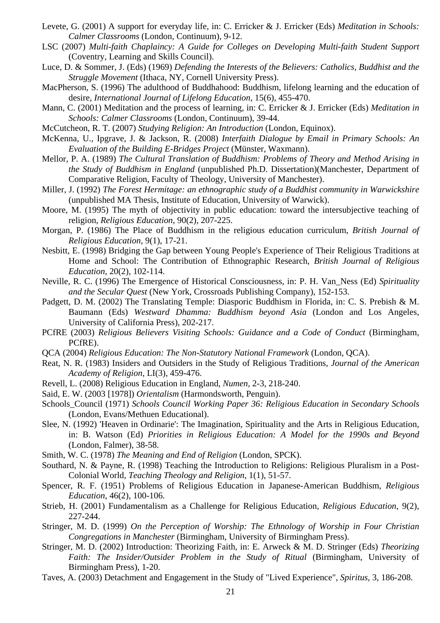- Levete, G. (2001) A support for everyday life, in: C. Erricker & J. Erricker (Eds) *Meditation in Schools: Calmer Classrooms* (London, Continuum), 9-12.
- LSC (2007) *Multi-faith Chaplaincy: A Guide for Colleges on Developing Multi-faith Student Support* (Coventry, Learning and Skills Council).
- Luce, D. & Sommer, J. (Eds) (1969) *Defending the Interests of the Believers: Catholics, Buddhist and the Struggle Movement* (Ithaca, NY, Cornell University Press).
- MacPherson, S. (1996) The adulthood of Buddhahood: Buddhism, lifelong learning and the education of desire, *International Journal of Lifelong Education*, 15(6), 455-470.
- Mann, C. (2001) Meditation and the process of learning, in: C. Erricker & J. Erricker (Eds) *Meditation in Schools: Calmer Classrooms* (London, Continuum), 39-44.
- McCutcheon, R. T. (2007) *Studying Religion: An Introduction* (London, Equinox).
- McKenna, U., Ipgrave, J. & Jackson, R. (2008) *Interfaith Dialogue by Email in Primary Schools: An Evaluation of the Building E-Bridges Project* (Münster, Waxmann).
- Mellor, P. A. (1989) *The Cultural Translation of Buddhism: Problems of Theory and Method Arising in the Study of Buddhism in England* (unpublished Ph.D. Dissertation)(Manchester, Department of Comparative Religion, Faculty of Theology, University of Manchester).
- Miller, J. (1992) *The Forest Hermitage: an ethnographic study of a Buddhist community in Warwickshire* (unpublished MA Thesis, Institute of Education, University of Warwick).
- Moore, M. (1995) The myth of objectivity in public education: toward the intersubjective teaching of religion, *Religious Education*, 90(2), 207-225.
- Morgan, P. (1986) The Place of Buddhism in the religious education curriculum, *British Journal of Religious Education*, 9(1), 17-21.
- Nesbitt, E. (1998) Bridging the Gap between Young People's Experience of Their Religious Traditions at Home and School: The Contribution of Ethnographic Research, *British Journal of Religious Education*, 20(2), 102-114.
- Neville, R. C. (1996) The Emergence of Historical Consciousness, in: P. H. Van\_Ness (Ed) *Spirituality and the Secular Quest* (New York, Crossroads Publishing Company), 152-153.
- Padgett, D. M. (2002) The Translating Temple: Diasporic Buddhism in Florida, in: C. S. Prebish & M. Baumann (Eds) *Westward Dhamma: Buddhism beyond Asia* (London and Los Angeles, University of California Press), 202-217.
- PCfRE (2003) *Religious Believers Visiting Schools: Guidance and a Code of Conduct* (Birmingham, PCfRE).
- QCA (2004) *Religious Education: The Non-Statutory National Framework* (London, QCA).
- Reat, N. R. (1983) Insiders and Outsiders in the Study of Religious Traditions, *Journal of the American Academy of Religion*, LI(3), 459-476.
- Revell, L. (2008) Religious Education in England, *Numen*, 2-3, 218-240.
- Said, E. W. (2003 [1978]) *Orientalism* (Harmondsworth, Penguin).
- Schools\_Council (1971) *Schools Council Working Paper 36: Religious Education in Secondary Schools* (London, Evans/Methuen Educational).
- Slee, N. (1992) 'Heaven in Ordinarie': The Imagination, Spirituality and the Arts in Religious Education, in: B. Watson (Ed) *Priorities in Religious Education: A Model for the 1990s and Beyond*  (London, Falmer), 38-58.
- Smith, W. C. (1978) *The Meaning and End of Religion* (London, SPCK).
- Southard, N. & Payne, R. (1998) Teaching the Introduction to Religions: Religious Pluralism in a Post-Colonial World, *Teaching Theology and Religion*, 1(1), 51-57.
- Spencer, R. F. (1951) Problems of Religious Education in Japanese-American Buddhism, *Religious Education*, 46(2), 100-106.
- Strieb, H. (2001) Fundamentalism as a Challenge for Religious Education, *Religious Education*, 9(2), 227-244.
- Stringer, M. D. (1999) *On the Perception of Worship: The Ethnology of Worship in Four Christian Congregations in Manchester* (Birmingham, University of Birmingham Press).
- Stringer, M. D. (2002) Introduction: Theorizing Faith, in: E. Arweck & M. D. Stringer (Eds) *Theorizing Faith: The Insider/Outsider Problem in the Study of Ritual* (Birmingham, University of Birmingham Press), 1-20.
- Taves, A. (2003) Detachment and Engagement in the Study of "Lived Experience", *Spiritus*, 3, 186-208.